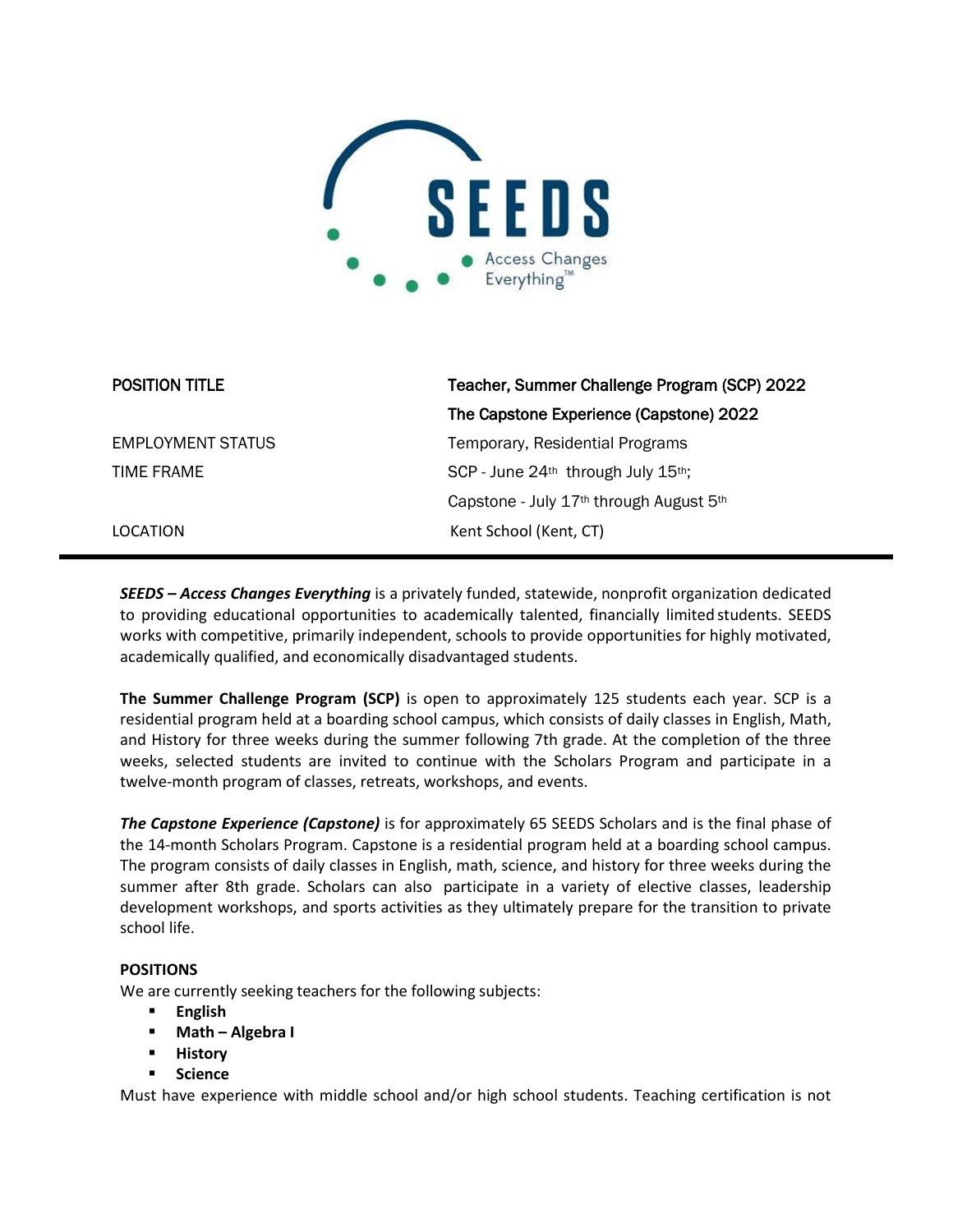

| <b>POSITION TITLE</b>    | Teacher, Summer Challenge Program (SCP) 2022                    |
|--------------------------|-----------------------------------------------------------------|
|                          | The Capstone Experience (Capstone) 2022                         |
| <b>EMPLOYMENT STATUS</b> | Temporary, Residential Programs                                 |
| TIME FRAME               | SCP - June 24th through July 15th;                              |
|                          | Capstone - July 17 <sup>th</sup> through August 5 <sup>th</sup> |
| LOCATION                 | Kent School (Kent, CT)                                          |

*SEEDS – Access Changes Everything* is a privately funded, statewide, nonprofit organization dedicated to providing educational opportunities to academically talented, financially limited students. SEEDS works with competitive, primarily independent, schools to provide opportunities for highly motivated, academically qualified, and economically disadvantaged students.

**The Summer Challenge Program (SCP)** is open to approximately 125 students each year. SCP is a residential program held at a boarding school campus, which consists of daily classes in English, Math, and History for three weeks during the summer following 7th grade. At the completion of the three weeks, selected students are invited to continue with the Scholars Program and participate in a twelve-month program of classes, retreats, workshops, and events.

*The Capstone Experience (Capstone)* is for approximately 65 SEEDS Scholars and is the final phase of the 14-month Scholars Program. Capstone is a residential program held at a boarding school campus. The program consists of daily classes in English, math, science, and history for three weeks during the summer after 8th grade. Scholars can also participate in a variety of elective classes, leadership development workshops, and sports activities as they ultimately prepare for the transition to private school life.

# **POSITIONS**

We are currently seeking teachers for the following subjects:

- **English**
- **Math – Algebra I**
- **History**
- **Science**

Must have experience with middle school and/or high school students. Teaching certification is not